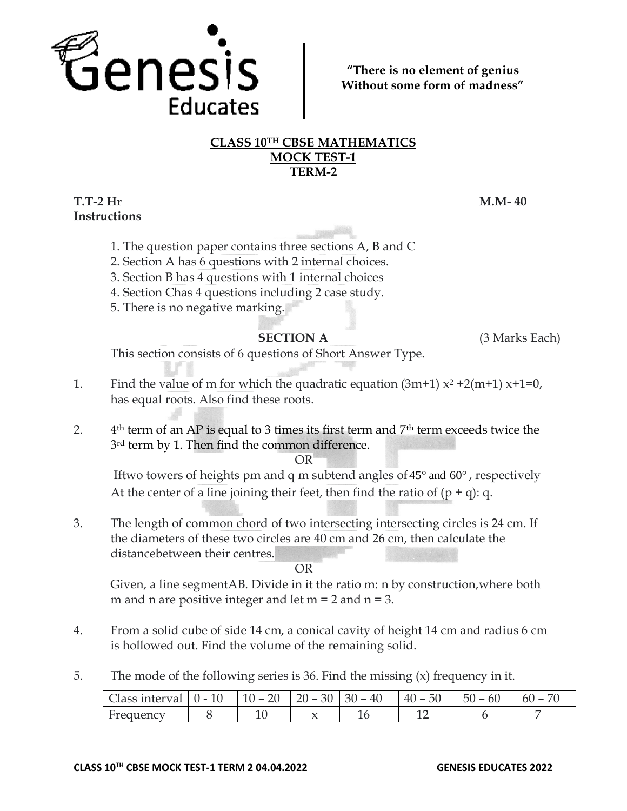

**"There is no element of genius Without some form of madness"**

# **CLASS 10TH CBSE MATHEMATICS MOCK TEST-1 TERM-2**

# **T.T-2 Hr M.M- 40 Instructions**

- 1. The question paper contains three sections A, B and C
- 2. Section A has 6 questions with 2 internal choices.
- 3. Section B has 4 questions with 1 internal choices
- 4. Section Chas 4 questions including 2 case study.
- 5. There is no negative marking.

**SECTION A** (3 Marks Each)

This section consists of 6 questions of Short Answer Type.

- 1. Find the value of m for which the quadratic equation  $(3m+1) x^2 + 2(m+1) x+1=0$ , has equal roots. Also find these roots.
- $2<sub>1</sub>$  $4<sup>th</sup>$  term of an AP is equal to 3 times its first term and  $7<sup>th</sup>$  term exceeds twice the <sup>3rd</sup> term by 1. Then find the common difference.

OR

Iftwo towers of heights pm and q m subtend angles of  $45^{\circ}$  and  $60^{\circ}$  , respectively At the center of a line joining their feet, then find the ratio of  $(p + q)$ : q.

3. The length of common chord of two intersecting intersecting circles is 24 cm. If the diameters of these two circles are 40 cm and 26 cm, then calculate the distancebetween their centres.

OR

Given, a line segmentAB. Divide in it the ratio m: n by construction,where both m and n are positive integer and let  $m = 2$  and  $n = 3$ .

- 4. From a solid cube of side 14 cm, a conical cavity of height 14 cm and radius 6 cm is hollowed out. Find the volume of the remaining solid.
- 5. The mode of the following series is 36. Find the missing (x) frequency in it.

| Class interval | $(1 -$ | $10 -$<br>∸ | 30<br>ŽU<br>-- | 30<br>40<br>$\overline{\phantom{0}}$ | 50<br>$40 -$ | $\sim$<br>-5C<br>0U | n.<br>$\overline{\phantom{a}}$ |
|----------------|--------|-------------|----------------|--------------------------------------|--------------|---------------------|--------------------------------|
| Frequency      |        | ≖           |                |                                      |              |                     |                                |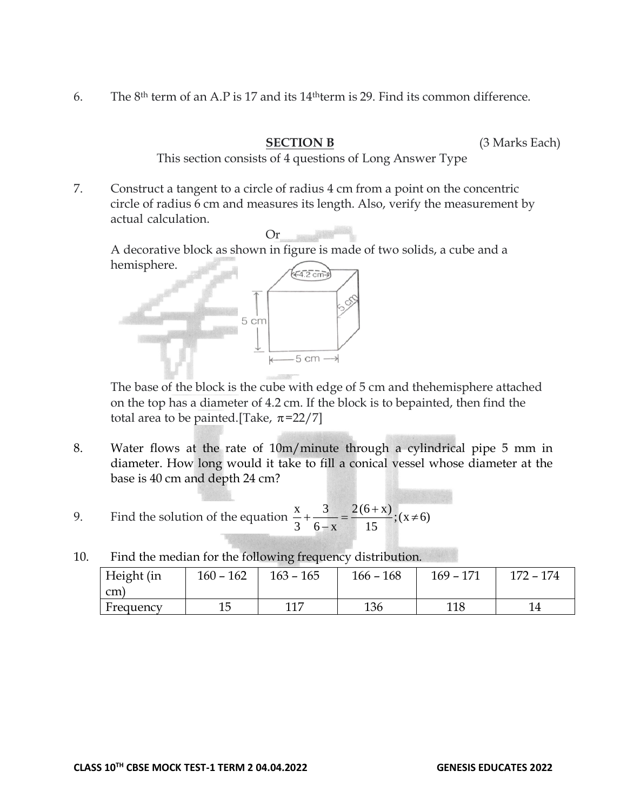6. The 8th term of an A.P is 17 and its 14thterm is 29. Find its common difference.

**SECTION B** (3 Marks Each)

This section consists of 4 questions of Long Answer Type

7. Construct a tangent to a circle of radius 4 cm from a point on the concentric circle of radius 6 cm and measures its length. Also, verify the measurement by actual calculation.

Or

A decorative block as shown in figure is made of two solids, a cube and a hemisphere.



The base of the block is the cube with edge of 5 cm and thehemisphere attached on the top has a diameter of 4.2 cm. If the block is to bepainted, then find the total area to be painted.[Take,  $\pi$ =22/7]

- 8. Water flows at the rate of 10m/minute through a cylindrical pipe 5 mm in diameter. How long would it take to fill a conical vessel whose diameter at the base is 40 cm and depth 24 cm?
- 9. Find the solution of the equation  $\frac{x}{3} + \frac{y}{6-x} = \frac{z(6+x)}{15}$ ; (x  $\neq$  6)  $2(6 + x)$  $6 - x$ 3 3  $\frac{x}{3} + \frac{3}{6-x} = \frac{2(6+x)}{15}$ ; (x  $\neq$
- 10. Find the median for the following frequency distribution. Height (in cm) 160 – 162 | 163 – 165 | 166 – 168 | 169 – 171 | 172 – 174

Frequency 15 117 136 118 14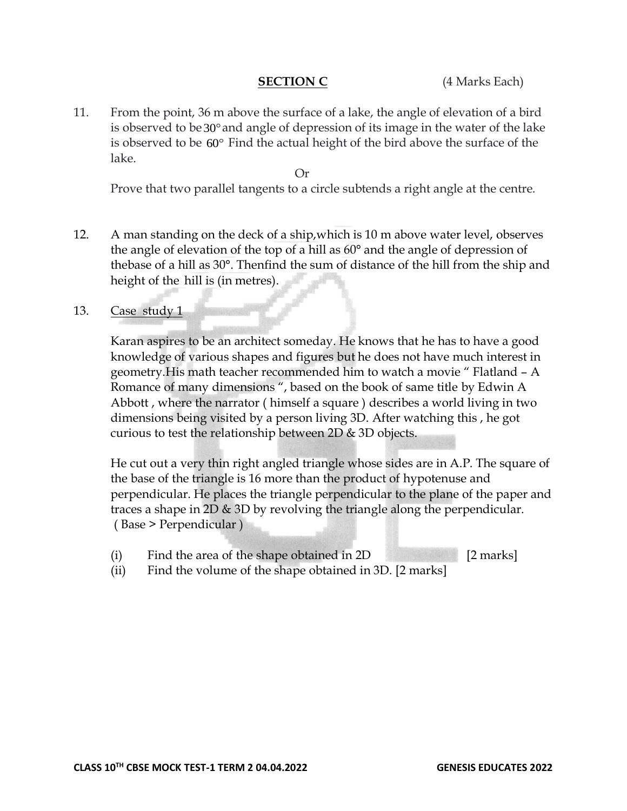**SECTION C** (4 Marks Each)

11. From the point, 36 m above the surface of a lake, the angle of elevation of a bird is observed to be 30° and angle of depression of its image in the water of the lake is observed to be 60 Find the actual height of the bird above the surface of the lake.

Or

Prove that two parallel tangents to a circle subtends a right angle at the centre.

12. A man standing on the deck of a ship,which is 10 m above water level, observes the angle of elevation of the top of a hill as 60° and the angle of depression of thebase of a hill as 30°. Thenfind the sum of distance of the hill from the ship and height of the hill is (in metres).

# 13. Case study 1

Karan aspires to be an architect someday. He knows that he has to have a good knowledge of various shapes and figures but he does not have much interest in geometry.His math teacher recommended him to watch a movie " Flatland – A Romance of many dimensions ", based on the book of same title by Edwin A Abbott , where the narrator ( himself a square ) describes a world living in two dimensions being visited by a person living 3D. After watching this , he got curious to test the relationship between 2D & 3D objects.

He cut out a very thin right angled triangle whose sides are in A.P. The square of the base of the triangle is 16 more than the product of hypotenuse and perpendicular. He places the triangle perpendicular to the plane of the paper and traces a shape in 2D & 3D by revolving the triangle along the perpendicular. ( Base > Perpendicular )

- (i) Find the area of the shape obtained in 2D [2 marks]
- (ii) Find the volume of the shape obtained in 3D. [2 marks]